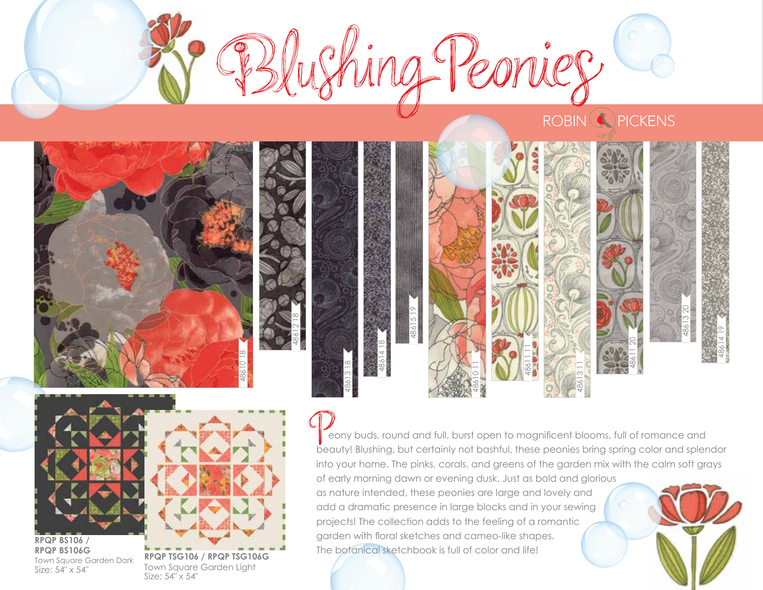



Size: 54" x 54"

Size: 54" x 54"

 eony buds, round and full, burst open to magnificent blooms, full of romance and beauty! Blushing, but certainly not bashful, these peonies bring spring color and splendor into your home. The pinks, corals, and greens of the garden mix with the calm soft grays of early morning dawn or evening dusk. Just as bold and glorious as nature intended, these peonies are large and lovely and add a dramatic presence in large blocks and in your sewing projects! The collection adds to the feeling of a romantic garden with floral sketches and cameo-like shapes.

The botanical sketchbook is full of color and life!